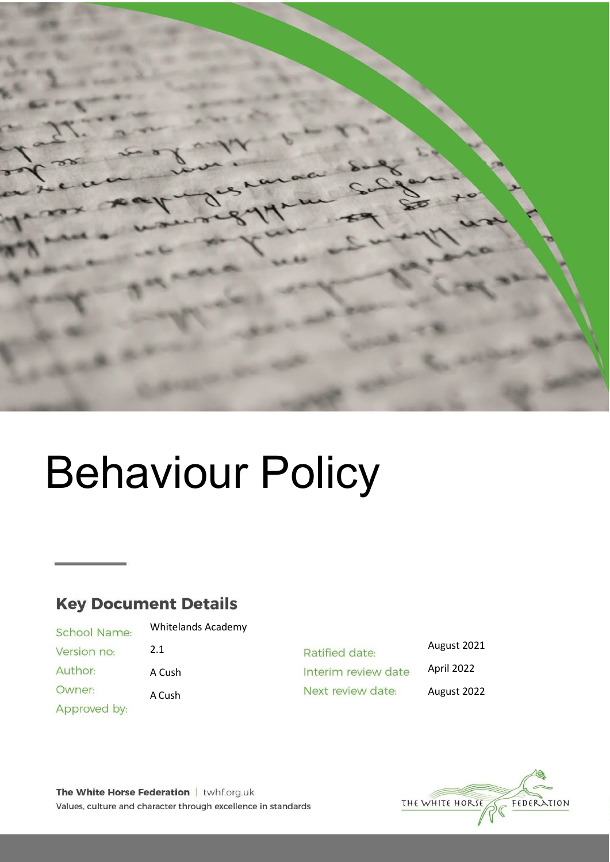

# Behaviour Policy

# **Key Document Details**

**School Name:** Version no: Author: Owner: Approved by:

Whitelands Academy 2.1 A Cush

A Cush

August 2021 Ratified date: April 2022 Interim review date Next review date: August 2022



The White Horse Federation | twhf.org.uk Values, culture and character through excellence in standards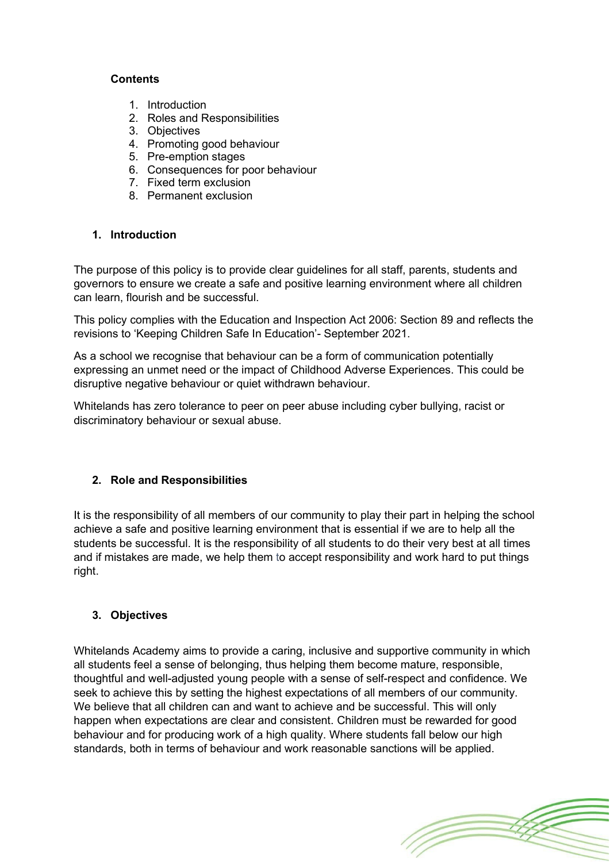#### **Contents**

- 1. Introduction
- 2. Roles and Responsibilities
- 3. Objectives
- 4. Promoting good behaviour
- 5. Pre-emption stages
- 6. Consequences for poor behaviour
- 7. Fixed term exclusion
- 8. Permanent exclusion

#### **1. Introduction**

The purpose of this policy is to provide clear guidelines for all staff, parents, students and governors to ensure we create a safe and positive learning environment where all children can learn, flourish and be successful.

This policy complies with the Education and Inspection Act 2006: Section 89 and reflects the revisions to 'Keeping Children Safe In Education'- September 2021.

As a school we recognise that behaviour can be a form of communication potentially expressing an unmet need or the impact of Childhood Adverse Experiences. This could be disruptive negative behaviour or quiet withdrawn behaviour.

Whitelands has zero tolerance to peer on peer abuse including cyber bullying, racist or discriminatory behaviour or sexual abuse.

# **2. Role and Responsibilities**

It is the responsibility of all members of our community to play their part in helping the school achieve a safe and positive learning environment that is essential if we are to help all the students be successful. It is the responsibility of all students to do their very best at all times and if mistakes are made, we help them to accept responsibility and work hard to put things right.

# **3. Objectives**

Whitelands Academy aims to provide a caring, inclusive and supportive community in which all students feel a sense of belonging, thus helping them become mature, responsible, thoughtful and well-adjusted young people with a sense of self-respect and confidence. We seek to achieve this by setting the highest expectations of all members of our community. We believe that all children can and want to achieve and be successful. This will only happen when expectations are clear and consistent. Children must be rewarded for good behaviour and for producing work of a high quality. Where students fall below our high standards, both in terms of behaviour and work reasonable sanctions will be applied.

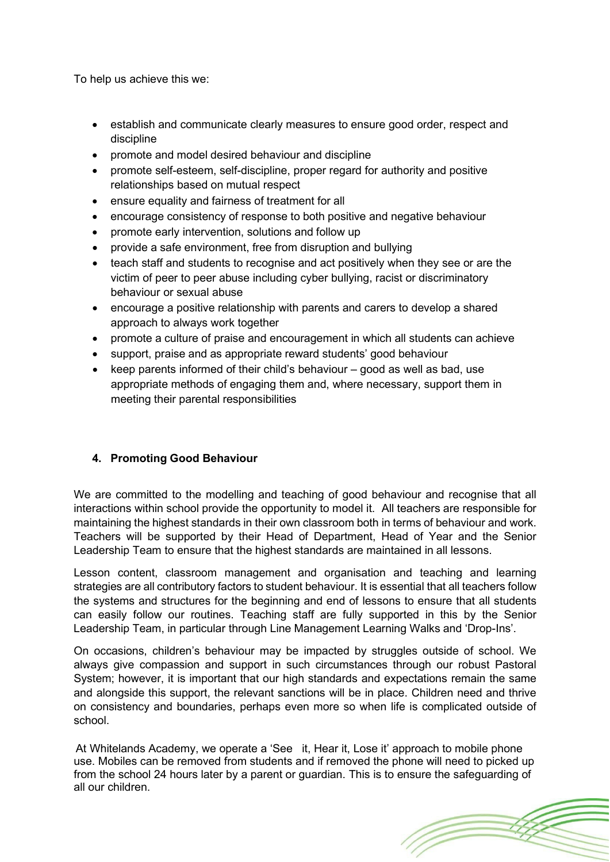To help us achieve this we:

- establish and communicate clearly measures to ensure good order, respect and discipline
- promote and model desired behaviour and discipline
- promote self-esteem, self-discipline, proper regard for authority and positive relationships based on mutual respect
- ensure equality and fairness of treatment for all
- encourage consistency of response to both positive and negative behaviour
- promote early intervention, solutions and follow up
- provide a safe environment, free from disruption and bullying
- teach staff and students to recognise and act positively when they see or are the victim of peer to peer abuse including cyber bullying, racist or discriminatory behaviour or sexual abuse
- encourage a positive relationship with parents and carers to develop a shared approach to always work together
- promote a culture of praise and encouragement in which all students can achieve
- support, praise and as appropriate reward students' good behaviour
- keep parents informed of their child's behaviour good as well as bad, use appropriate methods of engaging them and, where necessary, support them in meeting their parental responsibilities

# **4. Promoting Good Behaviour**

We are committed to the modelling and teaching of good behaviour and recognise that all interactions within school provide the opportunity to model it. All teachers are responsible for maintaining the highest standards in their own classroom both in terms of behaviour and work. Teachers will be supported by their Head of Department, Head of Year and the Senior Leadership Team to ensure that the highest standards are maintained in all lessons.

Lesson content, classroom management and organisation and teaching and learning strategies are all contributory factors to student behaviour. It is essential that all teachers follow the systems and structures for the beginning and end of lessons to ensure that all students can easily follow our routines. Teaching staff are fully supported in this by the Senior Leadership Team, in particular through Line Management Learning Walks and 'Drop-Ins'.

On occasions, children's behaviour may be impacted by struggles outside of school. We always give compassion and support in such circumstances through our robust Pastoral System; however, it is important that our high standards and expectations remain the same and alongside this support, the relevant sanctions will be in place. Children need and thrive on consistency and boundaries, perhaps even more so when life is complicated outside of school.

At Whitelands Academy, we operate a 'See it, Hear it, Lose it' approach to mobile phone use. Mobiles can be removed from students and if removed the phone will need to picked up from the school 24 hours later by a parent or guardian. This is to ensure the safeguarding of all our children.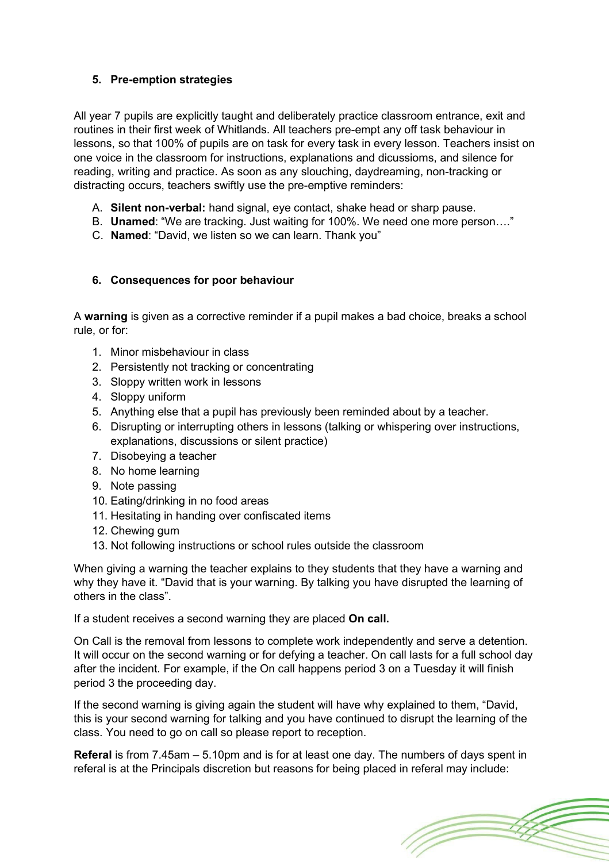# **5. Pre-emption strategies**

All year 7 pupils are explicitly taught and deliberately practice classroom entrance, exit and routines in their first week of Whitlands. All teachers pre-empt any off task behaviour in lessons, so that 100% of pupils are on task for every task in every lesson. Teachers insist on one voice in the classroom for instructions, explanations and dicussioms, and silence for reading, writing and practice. As soon as any slouching, daydreaming, non-tracking or distracting occurs, teachers swiftly use the pre-emptive reminders:

- A. **Silent non-verbal:** hand signal, eye contact, shake head or sharp pause.
- B. **Unamed**: "We are tracking. Just waiting for 100%. We need one more person…."
- C. **Named**: "David, we listen so we can learn. Thank you"

# **6. Consequences for poor behaviour**

A **warning** is given as a corrective reminder if a pupil makes a bad choice, breaks a school rule, or for:

- 1. Minor misbehaviour in class
- 2. Persistently not tracking or concentrating
- 3. Sloppy written work in lessons
- 4. Sloppy uniform
- 5. Anything else that a pupil has previously been reminded about by a teacher.
- 6. Disrupting or interrupting others in lessons (talking or whispering over instructions, explanations, discussions or silent practice)
- 7. Disobeying a teacher
- 8. No home learning
- 9. Note passing
- 10. Eating/drinking in no food areas
- 11. Hesitating in handing over confiscated items
- 12. Chewing gum
- 13. Not following instructions or school rules outside the classroom

When giving a warning the teacher explains to they students that they have a warning and why they have it. "David that is your warning. By talking you have disrupted the learning of others in the class".

If a student receives a second warning they are placed **On call.**

On Call is the removal from lessons to complete work independently and serve a detention. It will occur on the second warning or for defying a teacher. On call lasts for a full school day after the incident. For example, if the On call happens period 3 on a Tuesday it will finish period 3 the proceeding day.

If the second warning is giving again the student will have why explained to them, "David, this is your second warning for talking and you have continued to disrupt the learning of the class. You need to go on call so please report to reception.

**Referal** is from 7.45am – 5.10pm and is for at least one day. The numbers of days spent in referal is at the Principals discretion but reasons for being placed in referal may include:

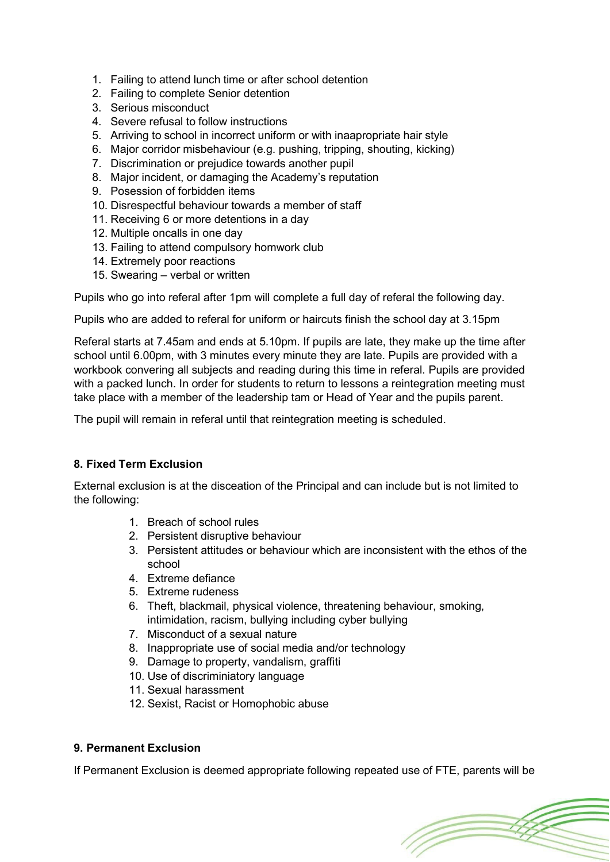- 1. Failing to attend lunch time or after school detention
- 2. Failing to complete Senior detention
- 3. Serious misconduct
- 4. Severe refusal to follow instructions
- 5. Arriving to school in incorrect uniform or with inaapropriate hair style
- 6. Major corridor misbehaviour (e.g. pushing, tripping, shouting, kicking)
- 7. Discrimination or prejudice towards another pupil
- 8. Major incident, or damaging the Academy's reputation
- 9. Posession of forbidden items
- 10. Disrespectful behaviour towards a member of staff
- 11. Receiving 6 or more detentions in a day
- 12. Multiple oncalls in one day
- 13. Failing to attend compulsory homwork club
- 14. Extremely poor reactions
- 15. Swearing verbal or written

Pupils who go into referal after 1pm will complete a full day of referal the following day.

Pupils who are added to referal for uniform or haircuts finish the school day at 3.15pm

Referal starts at 7.45am and ends at 5.10pm. If pupils are late, they make up the time after school until 6.00pm, with 3 minutes every minute they are late. Pupils are provided with a workbook convering all subjects and reading during this time in referal. Pupils are provided with a packed lunch. In order for students to return to lessons a reintegration meeting must take place with a member of the leadership tam or Head of Year and the pupils parent.

The pupil will remain in referal until that reintegration meeting is scheduled.

# **8. Fixed Term Exclusion**

External exclusion is at the disceation of the Principal and can include but is not limited to the following:

- 1. Breach of school rules
- 2. Persistent disruptive behaviour
- 3. Persistent attitudes or behaviour which are inconsistent with the ethos of the school
- 4. Extreme defiance
- 5. Extreme rudeness
- 6. Theft, blackmail, physical violence, threatening behaviour, smoking, intimidation, racism, bullying including cyber bullying
- 7. Misconduct of a sexual nature
- 8. Inappropriate use of social media and/or technology
- 9. Damage to property, vandalism, graffiti
- 10. Use of discriminiatory language
- 11. Sexual harassment
- 12. Sexist, Racist or Homophobic abuse

#### **9. Permanent Exclusion**

If Permanent Exclusion is deemed appropriate following repeated use of FTE, parents will be

(T